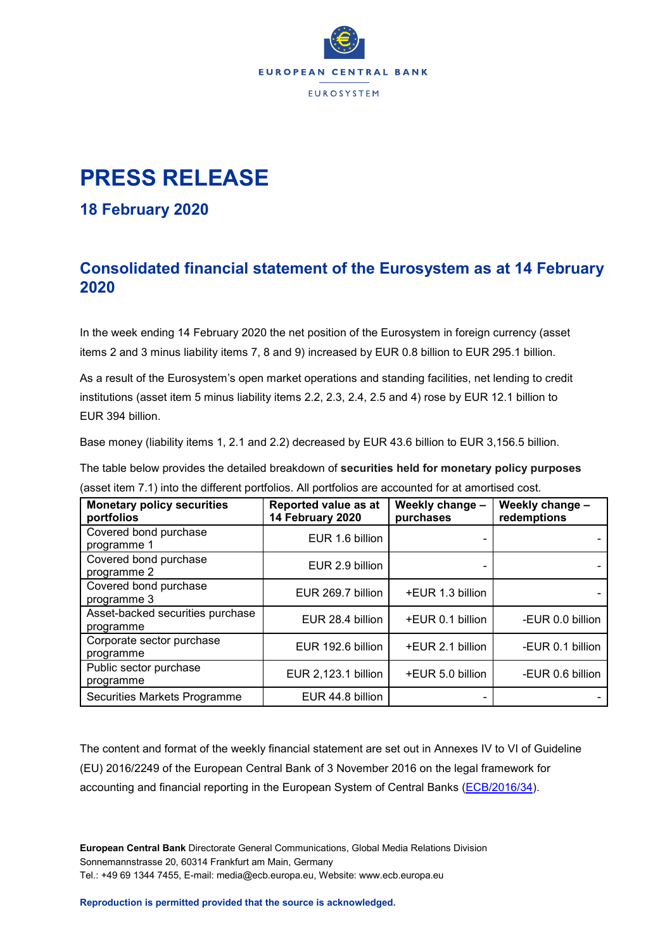

## **PRESS RELEASE**

## **18 February 2020**

## **Consolidated financial statement of the Eurosystem as at 14 February 2020**

In the week ending 14 February 2020 the net position of the Eurosystem in foreign currency (asset items 2 and 3 minus liability items 7, 8 and 9) increased by EUR 0.8 billion to EUR 295.1 billion.

As a result of the Eurosystem's open market operations and standing facilities, net lending to credit institutions (asset item 5 minus liability items 2.2, 2.3, 2.4, 2.5 and 4) rose by EUR 12.1 billion to EUR 394 billion.

Base money (liability items 1, 2.1 and 2.2) decreased by EUR 43.6 billion to EUR 3,156.5 billion.

The table below provides the detailed breakdown of **securities held for monetary policy purposes** (asset item 7.1) into the different portfolios. All portfolios are accounted for at amortised cost.

| <b>Monetary policy securities</b><br>portfolios | Reported value as at<br>14 February 2020 | Weekly change -<br>purchases | Weekly change -<br>redemptions |
|-------------------------------------------------|------------------------------------------|------------------------------|--------------------------------|
| Covered bond purchase<br>programme 1            | EUR 1.6 billion                          |                              |                                |
| Covered bond purchase<br>programme 2            | EUR 2.9 billion                          |                              |                                |
| Covered bond purchase<br>programme 3            | EUR 269.7 billion                        | +EUR 1.3 billion             |                                |
| Asset-backed securities purchase<br>programme   | EUR 28.4 billion                         | +EUR 0.1 billion             | -EUR 0.0 billion               |
| Corporate sector purchase<br>programme          | EUR 192.6 billion                        | +EUR 2.1 billion             | -EUR 0.1 billion               |
| Public sector purchase<br>programme             | EUR 2,123.1 billion                      | +EUR 5.0 billion             | -EUR 0.6 billion               |
| Securities Markets Programme                    | EUR 44.8 billion                         |                              |                                |

The content and format of the weekly financial statement are set out in Annexes IV to VI of Guideline (EU) 2016/2249 of the European Central Bank of 3 November 2016 on the legal framework for accounting and financial reporting in the European System of Central Banks [\(ECB/2016/34\)](http://www.ecb.europa.eu/ecb/legal/1001/1012/html/index.en.html).

**European Central Bank** Directorate General Communications, Global Media Relations Division Sonnemannstrasse 20, 60314 Frankfurt am Main, Germany Tel.: +49 69 1344 7455, E-mail: media@ecb.europa.eu, Website: www.ecb.europa.eu